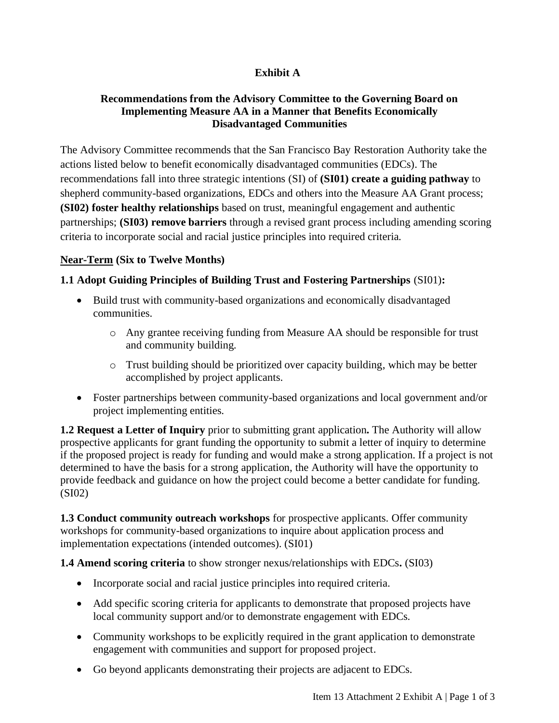# **Exhibit A**

#### **Recommendations from the Advisory Committee to the Governing Board on Implementing Measure AA in a Manner that Benefits Economically Disadvantaged Communities**

The Advisory Committee recommends that the San Francisco Bay Restoration Authority take the actions listed below to benefit economically disadvantaged communities (EDCs). The recommendations fall into three strategic intentions (SI) of **(SI01) create a guiding pathway** to shepherd community-based organizations, EDCs and others into the Measure AA Grant process; **(SI02) foster healthy relationships** based on trust, meaningful engagement and authentic partnerships; **(SI03) remove barriers** through a revised grant process including amending scoring criteria to incorporate social and racial justice principles into required criteria.

## **Near-Term (Six to Twelve Months)**

## **1.1 Adopt Guiding Principles of Building Trust and Fostering Partnerships** (SI01)**:**

- Build trust with community-based organizations and economically disadvantaged communities.
	- o Any grantee receiving funding from Measure AA should be responsible for trust and community building.
	- o Trust building should be prioritized over capacity building, which may be better accomplished by project applicants.
- Foster partnerships between community-based organizations and local government and/or project implementing entities.

**1.2 Request a Letter of Inquiry** prior to submitting grant application**.** The Authority will allow prospective applicants for grant funding the opportunity to submit a letter of inquiry to determine if the proposed project is ready for funding and would make a strong application. If a project is not determined to have the basis for a strong application, the Authority will have the opportunity to provide feedback and guidance on how the project could become a better candidate for funding. (SI02)

**1.3 Conduct community outreach workshops** for prospective applicants. Offer community workshops for community-based organizations to inquire about application process and implementation expectations (intended outcomes). (SI01)

**1.4 Amend scoring criteria** to show stronger nexus/relationships with EDCs**.** (SI03)

- Incorporate social and racial justice principles into required criteria.
- Add specific scoring criteria for applicants to demonstrate that proposed projects have local community support and/or to demonstrate engagement with EDCs.
- Community workshops to be explicitly required in the grant application to demonstrate engagement with communities and support for proposed project.
- Go beyond applicants demonstrating their projects are adjacent to EDCs.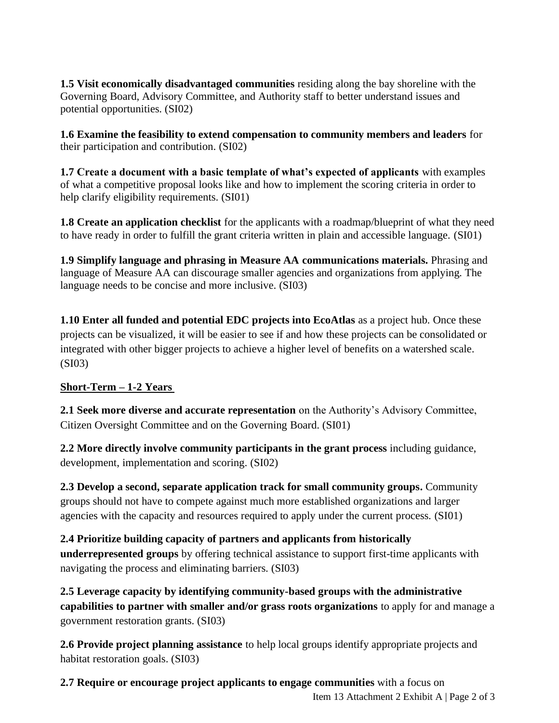**1.5 Visit economically disadvantaged communities** residing along the bay shoreline with the Governing Board, Advisory Committee, and Authority staff to better understand issues and potential opportunities. (SI02)

**1.6 Examine the feasibility to extend compensation to community members and leaders** for their participation and contribution. (SI02)

**1.7 Create a document with a basic template of what's expected of applicants** with examples of what a competitive proposal looks like and how to implement the scoring criteria in order to help clarify eligibility requirements. (SI01)

**1.8 Create an application checklist** for the applicants with a roadmap/blueprint of what they need to have ready in order to fulfill the grant criteria written in plain and accessible language. (SI01)

**1.9 Simplify language and phrasing in Measure AA communications materials.** Phrasing and language of Measure AA can discourage smaller agencies and organizations from applying. The language needs to be concise and more inclusive. (SI03)

**1.10 Enter all funded and potential EDC projects into EcoAtlas** as a project hub. Once these projects can be visualized, it will be easier to see if and how these projects can be consolidated or integrated with other bigger projects to achieve a higher level of benefits on a watershed scale. (SI03)

## **Short-Term – 1-2 Years**

**2.1 Seek more diverse and accurate representation** on the Authority's Advisory Committee, Citizen Oversight Committee and on the Governing Board. (SI01)

**2.2 More directly involve community participants in the grant process** including guidance, development, implementation and scoring. (SI02)

**2.3 Develop a second, separate application track for small community groups.** Community groups should not have to compete against much more established organizations and larger agencies with the capacity and resources required to apply under the current process. (SI01)

**2.4 Prioritize building capacity of partners and applicants from historically underrepresented groups** by offering technical assistance to support first-time applicants with navigating the process and eliminating barriers. (SI03)

**2.5 Leverage capacity by identifying community-based groups with the administrative capabilities to partner with smaller and/or grass roots organizations** to apply for and manage a government restoration grants. (SI03)

**2.6 Provide project planning assistance** to help local groups identify appropriate projects and habitat restoration goals. (SI03)

Item 13 Attachment 2 Exhibit A | Page 2 of 3 **2.7 Require or encourage project applicants to engage communities** with a focus on